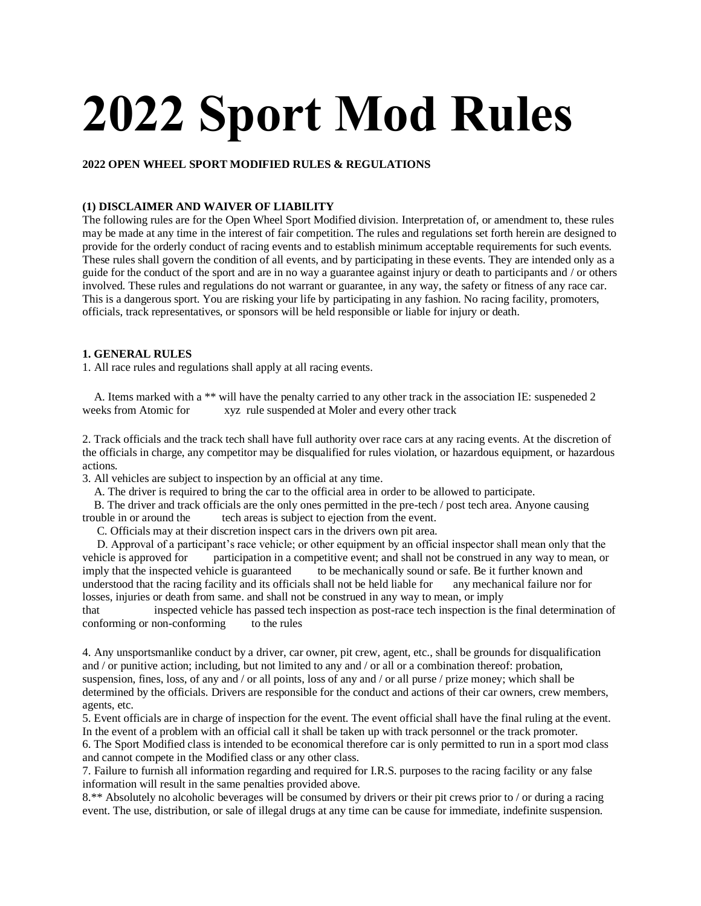# **2022 Sport Mod Rules**

# **2022 OPEN WHEEL SPORT MODIFIED RULES & REGULATIONS**

# **(1) DISCLAIMER AND WAIVER OF LIABILITY**

The following rules are for the Open Wheel Sport Modified division. Interpretation of, or amendment to, these rules may be made at any time in the interest of fair competition. The rules and regulations set forth herein are designed to provide for the orderly conduct of racing events and to establish minimum acceptable requirements for such events. These rules shall govern the condition of all events, and by participating in these events. They are intended only as a guide for the conduct of the sport and are in no way a guarantee against injury or death to participants and / or others involved. These rules and regulations do not warrant or guarantee, in any way, the safety or fitness of any race car. This is a dangerous sport. You are risking your life by participating in any fashion. No racing facility, promoters, officials, track representatives, or sponsors will be held responsible or liable for injury or death.

# **1. GENERAL RULES**

1. All race rules and regulations shall apply at all racing events.

A. Items marked with a \*\* will have the penalty carried to any other track in the association IE: suspeneded 2 weeks from Atomic for xyz rule suspended at Moler and every other track

2. Track officials and the track tech shall have full authority over race cars at any racing events. At the discretion of the officials in charge, any competitor may be disqualified for rules violation, or hazardous equipment, or hazardous actions.

3. All vehicles are subject to inspection by an official at any time.

A. The driver is required to bring the car to the official area in order to be allowed to participate.

B. The driver and track officials are the only ones permitted in the pre-tech / post tech area. Anyone causing trouble in or around the tech areas is subject to ejection from the event.

C. Officials may at their discretion inspect cars in the drivers own pit area.

D. Approval of a participant's race vehicle; or other equipment by an official inspector shall mean only that the vehicle is approved for participation in a competitive event; and shall not be construed in any way to mean, or imply that the inspected vehicle is guaranteed to be mechanically sound or safe. Be it further known and understood that the racing facility and its officials shall not be held liable for any mechanical failure nor for losses, injuries or death from same. and shall not be construed in any way to mean, or imply

that inspected vehicle has passed tech inspection as post-race tech inspection is the final determination of conforming or non-conforming to the rules

4. Any unsportsmanlike conduct by a driver, car owner, pit crew, agent, etc., shall be grounds for disqualification and / or punitive action; including, but not limited to any and / or all or a combination thereof: probation, suspension, fines, loss, of any and / or all points, loss of any and / or all purse / prize money; which shall be determined by the officials. Drivers are responsible for the conduct and actions of their car owners, crew members, agents, etc.

5. Event officials are in charge of inspection for the event. The event official shall have the final ruling at the event. In the event of a problem with an official call it shall be taken up with track personnel or the track promoter.

6. The Sport Modified class is intended to be economical therefore car is only permitted to run in a sport mod class and cannot compete in the Modified class or any other class.

7. Failure to furnish all information regarding and required for I.R.S. purposes to the racing facility or any false information will result in the same penalties provided above.

8.\*\* Absolutely no alcoholic beverages will be consumed by drivers or their pit crews prior to / or during a racing event. The use, distribution, or sale of illegal drugs at any time can be cause for immediate, indefinite suspension.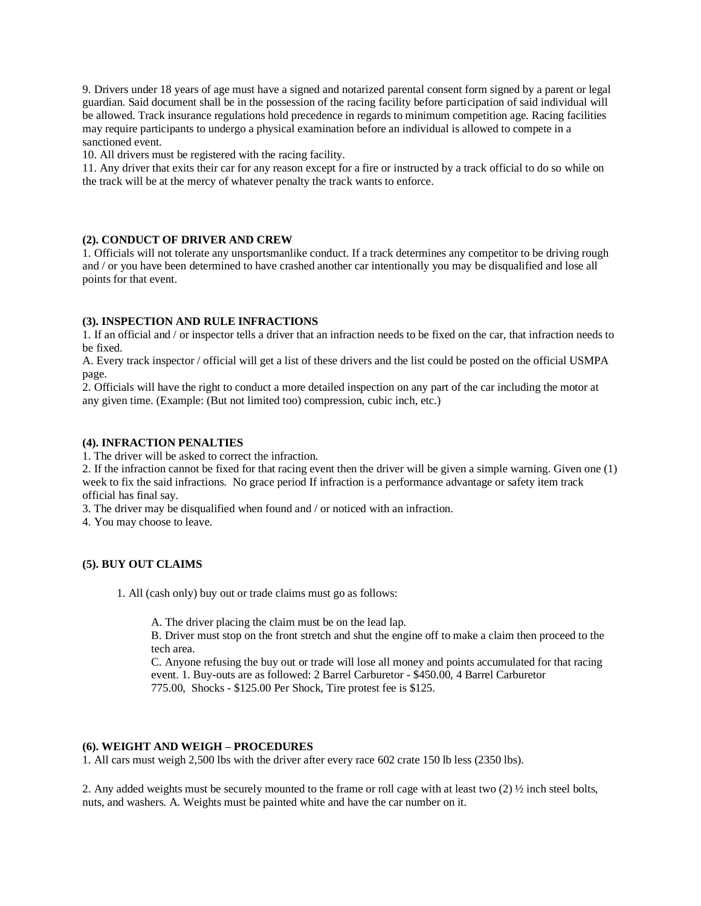9. Drivers under 18 years of age must have a signed and notarized parental consent form signed by a parent or legal guardian. Said document shall be in the possession of the racing facility before participation of said individual will be allowed. Track insurance regulations hold precedence in regards to minimum competition age. Racing facilities may require participants to undergo a physical examination before an individual is allowed to compete in a sanctioned event.

10. All drivers must be registered with the racing facility.

11. Any driver that exits their car for any reason except for a fire or instructed by a track official to do so while on the track will be at the mercy of whatever penalty the track wants to enforce.

# **(2). CONDUCT OF DRIVER AND CREW**

1. Officials will not tolerate any unsportsmanlike conduct. If a track determines any competitor to be driving rough and / or you have been determined to have crashed another car intentionally you may be disqualified and lose all points for that event.

# **(3). INSPECTION AND RULE INFRACTIONS**

1. If an official and / or inspector tells a driver that an infraction needs to be fixed on the car, that infraction needs to be fixed.

A. Every track inspector / official will get a list of these drivers and the list could be posted on the official USMPA page.

2. Officials will have the right to conduct a more detailed inspection on any part of the car including the motor at any given time. (Example: (But not limited too) compression, cubic inch, etc.)

# **(4). INFRACTION PENALTIES**

1. The driver will be asked to correct the infraction.

2. If the infraction cannot be fixed for that racing event then the driver will be given a simple warning. Given one (1) week to fix the said infractions. No grace period If infraction is a performance advantage or safety item track official has final say.

3. The driver may be disqualified when found and / or noticed with an infraction.

4. You may choose to leave.

# **(5). BUY OUT CLAIMS**

1. All (cash only) buy out or trade claims must go as follows:

A. The driver placing the claim must be on the lead lap.

B. Driver must stop on the front stretch and shut the engine off to make a claim then proceed to the tech area.

C. Anyone refusing the buy out or trade will lose all money and points accumulated for that racing event. 1. Buy-outs are as followed: 2 Barrel Carburetor - \$450.00, 4 Barrel Carburetor 775.00, Shocks - \$125.00 Per Shock, Tire protest fee is \$125.

#### **(6). WEIGHT AND WEIGH – PROCEDURES**

1. All cars must weigh 2,500 lbs with the driver after every race 602 crate 150 lb less (2350 lbs).

2. Any added weights must be securely mounted to the frame or roll cage with at least two  $(2)$   $\frac{1}{2}$  inch steel bolts, nuts, and washers. A. Weights must be painted white and have the car number on it.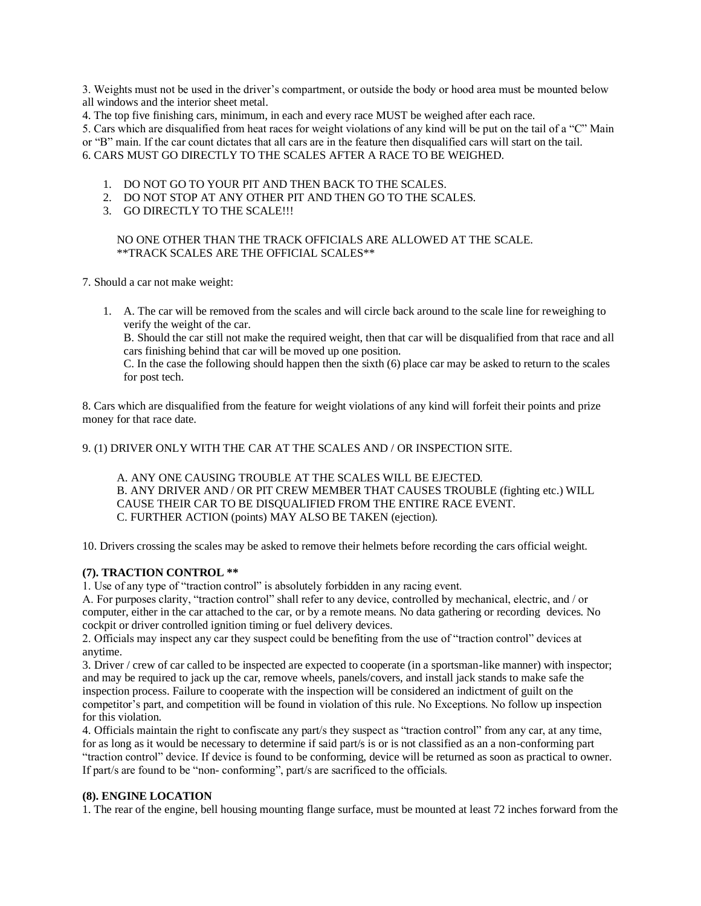3. Weights must not be used in the driver's compartment, or outside the body or hood area must be mounted below all windows and the interior sheet metal.

4. The top five finishing cars, minimum, in each and every race MUST be weighed after each race.

5. Cars which are disqualified from heat races for weight violations of any kind will be put on the tail of a "C" Main

or "B" main. If the car count dictates that all cars are in the feature then disqualified cars will start on the tail.

6. CARS MUST GO DIRECTLY TO THE SCALES AFTER A RACE TO BE WEIGHED.

- 1. DO NOT GO TO YOUR PIT AND THEN BACK TO THE SCALES.
- 2. DO NOT STOP AT ANY OTHER PIT AND THEN GO TO THE SCALES.
- 3. GO DIRECTLY TO THE SCALE!!!

# NO ONE OTHER THAN THE TRACK OFFICIALS ARE ALLOWED AT THE SCALE. \*\*TRACK SCALES ARE THE OFFICIAL SCALES\*\*

7. Should a car not make weight:

1. A. The car will be removed from the scales and will circle back around to the scale line for reweighing to verify the weight of the car.

B. Should the car still not make the required weight, then that car will be disqualified from that race and all cars finishing behind that car will be moved up one position.

C. In the case the following should happen then the sixth (6) place car may be asked to return to the scales for post tech.

8. Cars which are disqualified from the feature for weight violations of any kind will forfeit their points and prize money for that race date.

9. (1) DRIVER ONLY WITH THE CAR AT THE SCALES AND / OR INSPECTION SITE.

A. ANY ONE CAUSING TROUBLE AT THE SCALES WILL BE EJECTED. B. ANY DRIVER AND / OR PIT CREW MEMBER THAT CAUSES TROUBLE (fighting etc.) WILL CAUSE THEIR CAR TO BE DISQUALIFIED FROM THE ENTIRE RACE EVENT. C. FURTHER ACTION (points) MAY ALSO BE TAKEN (ejection).

10. Drivers crossing the scales may be asked to remove their helmets before recording the cars official weight.

# **(7). TRACTION CONTROL \*\***

1. Use of any type of "traction control" is absolutely forbidden in any racing event.

A. For purposes clarity, "traction control" shall refer to any device, controlled by mechanical, electric, and / or computer, either in the car attached to the car, or by a remote means. No data gathering or recording devices. No cockpit or driver controlled ignition timing or fuel delivery devices.

2. Officials may inspect any car they suspect could be benefiting from the use of "traction control" devices at anytime.

3. Driver / crew of car called to be inspected are expected to cooperate (in a sportsman-like manner) with inspector; and may be required to jack up the car, remove wheels, panels/covers, and install jack stands to make safe the inspection process. Failure to cooperate with the inspection will be considered an indictment of guilt on the competitor's part, and competition will be found in violation of this rule. No Exceptions. No follow up inspection for this violation.

4. Officials maintain the right to confiscate any part/s they suspect as "traction control" from any car, at any time, for as long as it would be necessary to determine if said part/s is or is not classified as an a non-conforming part "traction control" device. If device is found to be conforming, device will be returned as soon as practical to owner. If part/s are found to be "non- conforming", part/s are sacrificed to the officials.

# **(8). ENGINE LOCATION**

1. The rear of the engine, bell housing mounting flange surface, must be mounted at least 72 inches forward from the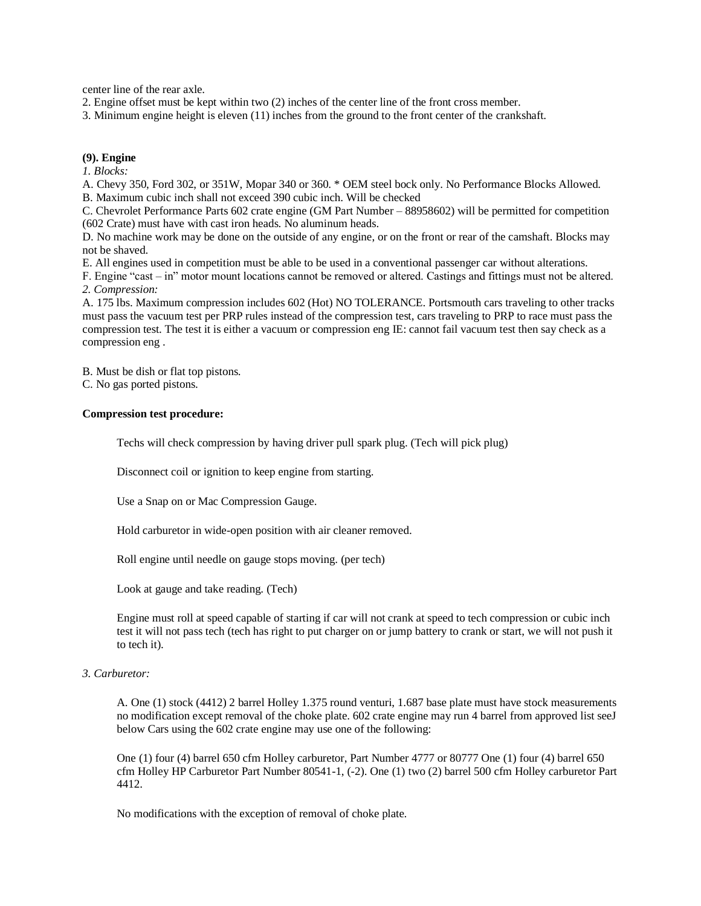center line of the rear axle.

2. Engine offset must be kept within two (2) inches of the center line of the front cross member.

3. Minimum engine height is eleven (11) inches from the ground to the front center of the crankshaft.

#### **(9). Engine**

*1. Blocks:*

A. Chevy 350, Ford 302, or 351W, Mopar 340 or 360. \* OEM steel bock only. No Performance Blocks Allowed.

B. Maximum cubic inch shall not exceed 390 cubic inch. Will be checked

C. Chevrolet Performance Parts 602 crate engine (GM Part Number – 88958602) will be permitted for competition (602 Crate) must have with cast iron heads. No aluminum heads.

D. No machine work may be done on the outside of any engine, or on the front or rear of the camshaft. Blocks may not be shaved.

E. All engines used in competition must be able to be used in a conventional passenger car without alterations.

F. Engine "cast – in" motor mount locations cannot be removed or altered. Castings and fittings must not be altered. *2. Compression:*

A. 175 lbs. Maximum compression includes 602 (Hot) NO TOLERANCE. Portsmouth cars traveling to other tracks must pass the vacuum test per PRP rules instead of the compression test, cars traveling to PRP to race must pass the compression test. The test it is either a vacuum or compression eng IE: cannot fail vacuum test then say check as a compression eng .

B. Must be dish or flat top pistons.

C. No gas ported pistons.

#### **Compression test procedure:**

Techs will check compression by having driver pull spark plug. (Tech will pick plug)

Disconnect coil or ignition to keep engine from starting.

Use a Snap on or Mac Compression Gauge.

Hold carburetor in wide-open position with air cleaner removed.

Roll engine until needle on gauge stops moving. (per tech)

Look at gauge and take reading. (Tech)

Engine must roll at speed capable of starting if car will not crank at speed to tech compression or cubic inch test it will not pass tech (tech has right to put charger on or jump battery to crank or start, we will not push it to tech it).

# *3. Carburetor:*

A. One (1) stock (4412) 2 barrel Holley 1.375 round venturi, 1.687 base plate must have stock measurements no modification except removal of the choke plate. 602 crate engine may run 4 barrel from approved list seeJ below Cars using the 602 crate engine may use one of the following:

One (1) four (4) barrel 650 cfm Holley carburetor, Part Number 4777 or 80777 One (1) four (4) barrel 650 cfm Holley HP Carburetor Part Number 80541-1, (-2). One (1) two (2) barrel 500 cfm Holley carburetor Part 4412.

No modifications with the exception of removal of choke plate.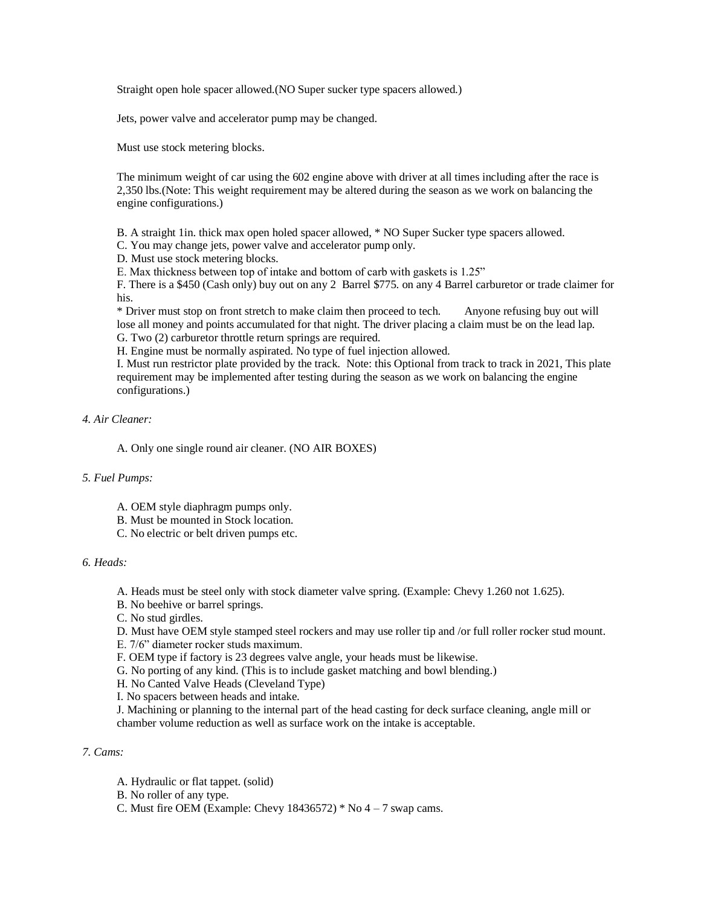Straight open hole spacer allowed.(NO Super sucker type spacers allowed.)

Jets, power valve and accelerator pump may be changed.

Must use stock metering blocks.

The minimum weight of car using the 602 engine above with driver at all times including after the race is 2,350 lbs.(Note: This weight requirement may be altered during the season as we work on balancing the engine configurations.)

B. A straight 1in. thick max open holed spacer allowed, \* NO Super Sucker type spacers allowed.

C. You may change jets, power valve and accelerator pump only.

D. Must use stock metering blocks.

E. Max thickness between top of intake and bottom of carb with gaskets is 1.25"

F. There is a \$450 (Cash only) buy out on any 2 Barrel \$775. on any 4 Barrel carburetor or trade claimer for his.

\* Driver must stop on front stretch to make claim then proceed to tech. Anyone refusing buy out will lose all money and points accumulated for that night. The driver placing a claim must be on the lead lap. G. Two (2) carburetor throttle return springs are required.

H. Engine must be normally aspirated. No type of fuel injection allowed.

I. Must run restrictor plate provided by the track. Note: this Optional from track to track in 2021, This plate requirement may be implemented after testing during the season as we work on balancing the engine configurations.)

#### *4. Air Cleaner:*

A. Only one single round air cleaner. (NO AIR BOXES)

# *5. Fuel Pumps:*

- A. OEM style diaphragm pumps only.
- B. Must be mounted in Stock location.
- C. No electric or belt driven pumps etc.

#### *6. Heads:*

- A. Heads must be steel only with stock diameter valve spring. (Example: Chevy 1.260 not 1.625).
- B. No beehive or barrel springs.
- C. No stud girdles.

D. Must have OEM style stamped steel rockers and may use roller tip and /or full roller rocker stud mount.

- E. 7/6" diameter rocker studs maximum.
- F. OEM type if factory is 23 degrees valve angle, your heads must be likewise.
- G. No porting of any kind. (This is to include gasket matching and bowl blending.)

H. No Canted Valve Heads (Cleveland Type)

I. No spacers between heads and intake.

J. Machining or planning to the internal part of the head casting for deck surface cleaning, angle mill or chamber volume reduction as well as surface work on the intake is acceptable.

#### *7. Cams:*

- A. Hydraulic or flat tappet. (solid)
- B. No roller of any type.
- C. Must fire OEM (Example: Chevy 18436572)  $*$  No 4 7 swap cams.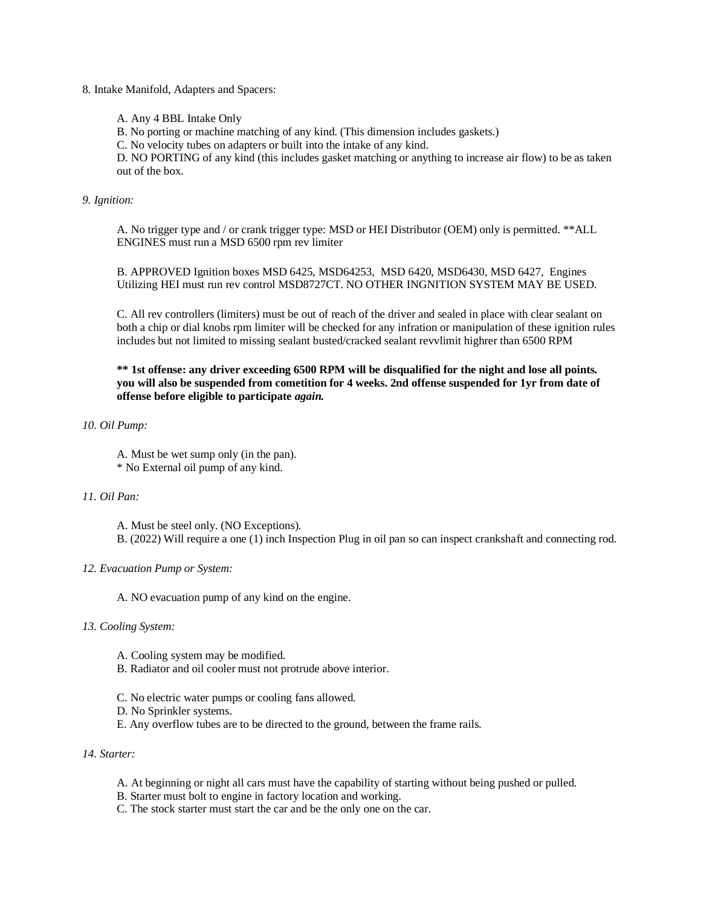8. Intake Manifold, Adapters and Spacers:

A. Any 4 BBL Intake Only

B. No porting or machine matching of any kind. (This dimension includes gaskets.)

C. No velocity tubes on adapters or built into the intake of any kind.

D. NO PORTING of any kind (this includes gasket matching or anything to increase air flow) to be as taken out of the box.

*9. Ignition:*

A. No trigger type and / or crank trigger type: MSD or HEI Distributor (OEM) only is permitted. \*\*ALL ENGINES must run a MSD 6500 rpm rev limiter

B. APPROVED Ignition boxes MSD 6425, MSD64253, MSD 6420, MSD6430, MSD 6427, Engines Utilizing HEI must run rev control MSD8727CT. NO OTHER INGNITION SYSTEM MAY BE USED.

C. All rev controllers (limiters) must be out of reach of the driver and sealed in place with clear sealant on both a chip or dial knobs rpm limiter will be checked for any infration or manipulation of these ignition rules includes but not limited to missing sealant busted/cracked sealant revvlimit highrer than 6500 RPM

**\*\* 1st offense: any driver exceeding 6500 RPM will be disqualified for the night and lose all points. you will also be suspended from cometition for 4 weeks. 2nd offense suspended for 1yr from date of offense before eligible to participate** *again.*

*10. Oil Pump:*

A. Must be wet sump only (in the pan). \* No External oil pump of any kind.

#### *11. Oil Pan:*

A. Must be steel only. (NO Exceptions).

B. (2022) Will require a one (1) inch Inspection Plug in oil pan so can inspect crankshaft and connecting rod.

#### *12. Evacuation Pump or System:*

A. NO evacuation pump of any kind on the engine.

#### *13. Cooling System:*

- A. Cooling system may be modified.
- B. Radiator and oil cooler must not protrude above interior.
- C. No electric water pumps or cooling fans allowed.
- D. No Sprinkler systems.
- E. Any overflow tubes are to be directed to the ground, between the frame rails.

*14. Starter:*

- A. At beginning or night all cars must have the capability of starting without being pushed or pulled.
- B. Starter must bolt to engine in factory location and working.
- C. The stock starter must start the car and be the only one on the car.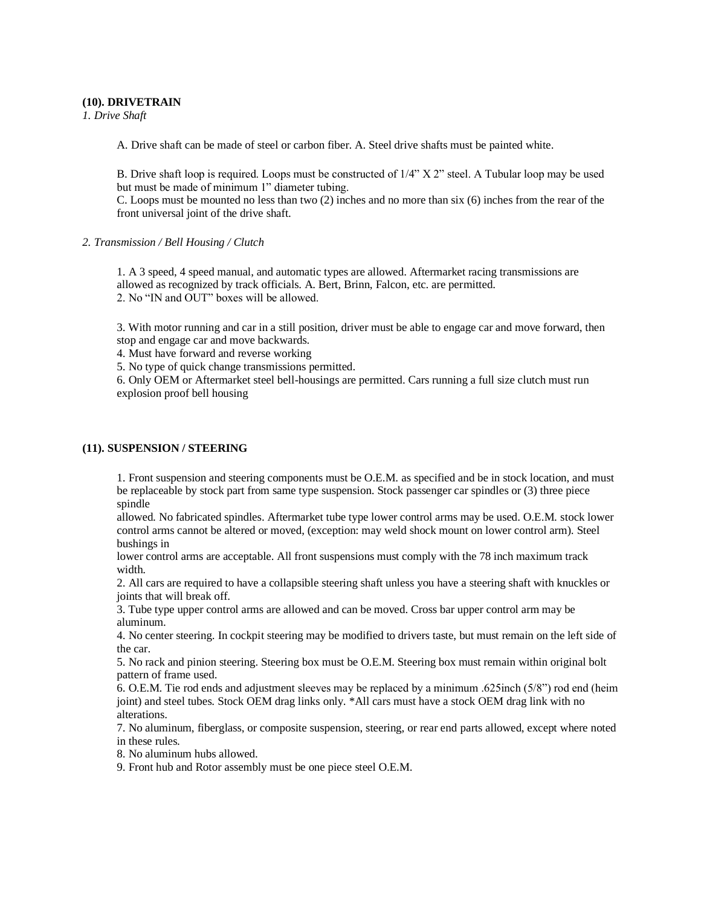# **(10). DRIVETRAIN**

*1. Drive Shaft*

A. Drive shaft can be made of steel or carbon fiber. A. Steel drive shafts must be painted white.

B. Drive shaft loop is required. Loops must be constructed of 1/4" X 2" steel. A Tubular loop may be used but must be made of minimum 1" diameter tubing.

C. Loops must be mounted no less than two (2) inches and no more than six (6) inches from the rear of the front universal joint of the drive shaft.

#### *2. Transmission / Bell Housing / Clutch*

1. A 3 speed, 4 speed manual, and automatic types are allowed. Aftermarket racing transmissions are allowed as recognized by track officials. A. Bert, Brinn, Falcon, etc. are permitted. 2. No "IN and OUT" boxes will be allowed.

3. With motor running and car in a still position, driver must be able to engage car and move forward, then stop and engage car and move backwards.

4. Must have forward and reverse working

5. No type of quick change transmissions permitted.

6. Only OEM or Aftermarket steel bell-housings are permitted. Cars running a full size clutch must run explosion proof bell housing

# **(11). SUSPENSION / STEERING**

1. Front suspension and steering components must be O.E.M. as specified and be in stock location, and must be replaceable by stock part from same type suspension. Stock passenger car spindles or (3) three piece spindle

allowed. No fabricated spindles. Aftermarket tube type lower control arms may be used. O.E.M. stock lower control arms cannot be altered or moved, (exception: may weld shock mount on lower control arm). Steel bushings in

lower control arms are acceptable. All front suspensions must comply with the 78 inch maximum track width.

2. All cars are required to have a collapsible steering shaft unless you have a steering shaft with knuckles or joints that will break off.

3. Tube type upper control arms are allowed and can be moved. Cross bar upper control arm may be aluminum.

4. No center steering. In cockpit steering may be modified to drivers taste, but must remain on the left side of the car.

5. No rack and pinion steering. Steering box must be O.E.M. Steering box must remain within original bolt pattern of frame used.

6. O.E.M. Tie rod ends and adjustment sleeves may be replaced by a minimum .625inch (5/8") rod end (heim joint) and steel tubes. Stock OEM drag links only. \*All cars must have a stock OEM drag link with no alterations.

7. No aluminum, fiberglass, or composite suspension, steering, or rear end parts allowed, except where noted in these rules.

8. No aluminum hubs allowed.

9. Front hub and Rotor assembly must be one piece steel O.E.M.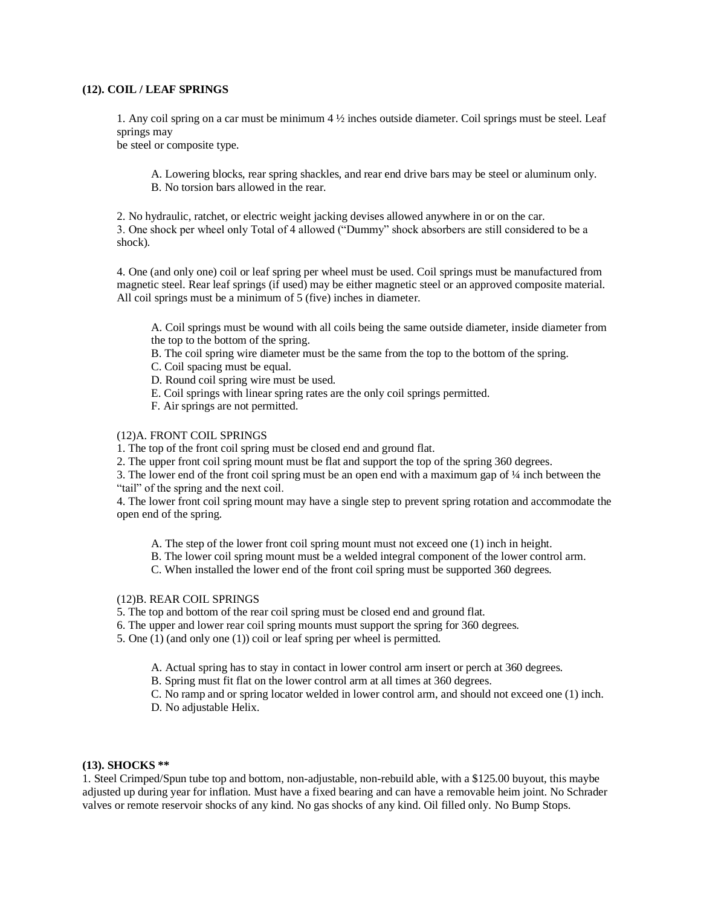# **(12). COIL / LEAF SPRINGS**

1. Any coil spring on a car must be minimum 4 ½ inches outside diameter. Coil springs must be steel. Leaf springs may

be steel or composite type.

A. Lowering blocks, rear spring shackles, and rear end drive bars may be steel or aluminum only. B. No torsion bars allowed in the rear.

2. No hydraulic, ratchet, or electric weight jacking devises allowed anywhere in or on the car. 3. One shock per wheel only Total of 4 allowed ("Dummy" shock absorbers are still considered to be a shock).

4. One (and only one) coil or leaf spring per wheel must be used. Coil springs must be manufactured from magnetic steel. Rear leaf springs (if used) may be either magnetic steel or an approved composite material. All coil springs must be a minimum of 5 (five) inches in diameter.

A. Coil springs must be wound with all coils being the same outside diameter, inside diameter from the top to the bottom of the spring.

B. The coil spring wire diameter must be the same from the top to the bottom of the spring.

- C. Coil spacing must be equal.
- D. Round coil spring wire must be used.
- E. Coil springs with linear spring rates are the only coil springs permitted.
- F. Air springs are not permitted.

# (12)A. FRONT COIL SPRINGS

1. The top of the front coil spring must be closed end and ground flat.

2. The upper front coil spring mount must be flat and support the top of the spring 360 degrees.

3. The lower end of the front coil spring must be an open end with a maximum gap of ¼ inch between the "tail" of the spring and the next coil.

4. The lower front coil spring mount may have a single step to prevent spring rotation and accommodate the open end of the spring.

- A. The step of the lower front coil spring mount must not exceed one (1) inch in height.
- B. The lower coil spring mount must be a welded integral component of the lower control arm.
- C. When installed the lower end of the front coil spring must be supported 360 degrees.

# (12)B. REAR COIL SPRINGS

- 5. The top and bottom of the rear coil spring must be closed end and ground flat.
- 6. The upper and lower rear coil spring mounts must support the spring for 360 degrees.
- 5. One (1) (and only one (1)) coil or leaf spring per wheel is permitted.
	- A. Actual spring has to stay in contact in lower control arm insert or perch at 360 degrees.
	- B. Spring must fit flat on the lower control arm at all times at 360 degrees.
	- C. No ramp and or spring locator welded in lower control arm, and should not exceed one (1) inch.
	- D. No adjustable Helix.

# **(13). SHOCKS \*\***

1. Steel Crimped/Spun tube top and bottom, non-adjustable, non-rebuild able, with a \$125.00 buyout, this maybe adjusted up during year for inflation. Must have a fixed bearing and can have a removable heim joint. No Schrader valves or remote reservoir shocks of any kind. No gas shocks of any kind. Oil filled only. No Bump Stops.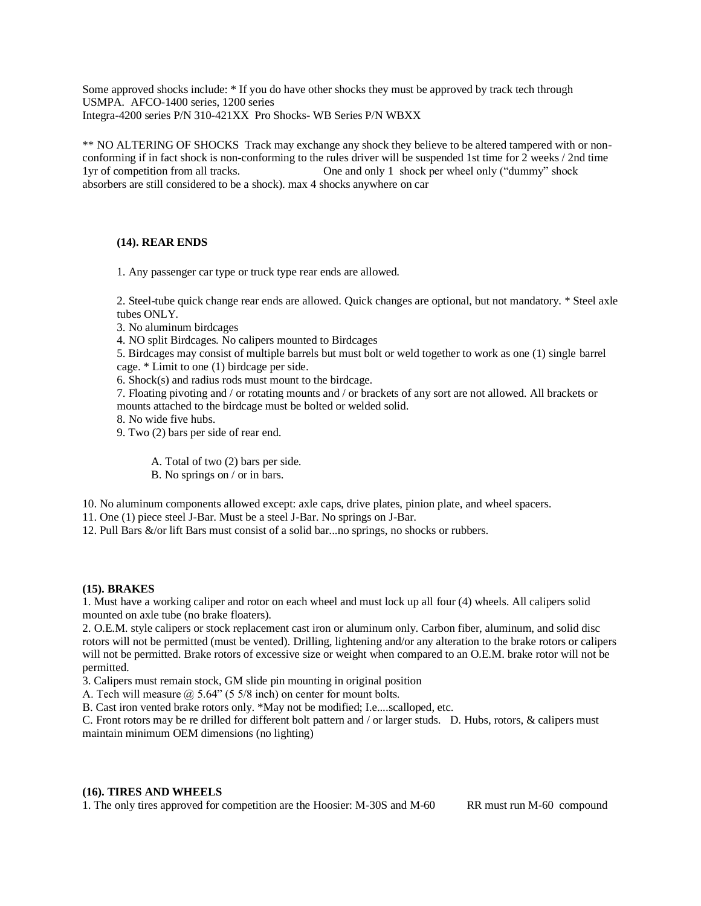Some approved shocks include: \* If you do have other shocks they must be approved by track tech through USMPA. AFCO-1400 series, 1200 series Integra-4200 series P/N 310-421XX Pro Shocks- WB Series P/N WBXX

\*\* NO ALTERING OF SHOCKS Track may exchange any shock they believe to be altered tampered with or nonconforming if in fact shock is non-conforming to the rules driver will be suspended 1st time for 2 weeks / 2nd time 1yr of competition from all tracks. One and only 1 shock per wheel only ("dummy" shock absorbers are still considered to be a shock). max 4 shocks anywhere on car

# **(14). REAR ENDS**

1. Any passenger car type or truck type rear ends are allowed.

2. Steel-tube quick change rear ends are allowed. Quick changes are optional, but not mandatory. \* Steel axle tubes ONLY.

3. No aluminum birdcages

4. NO split Birdcages. No calipers mounted to Birdcages

5. Birdcages may consist of multiple barrels but must bolt or weld together to work as one (1) single barrel cage. \* Limit to one (1) birdcage per side.

6. Shock(s) and radius rods must mount to the birdcage.

7. Floating pivoting and / or rotating mounts and / or brackets of any sort are not allowed. All brackets or mounts attached to the birdcage must be bolted or welded solid.

8. No wide five hubs.

9. Two (2) bars per side of rear end.

A. Total of two (2) bars per side.

B. No springs on / or in bars.

10. No aluminum components allowed except: axle caps, drive plates, pinion plate, and wheel spacers.

11. One (1) piece steel J-Bar. Must be a steel J-Bar. No springs on J-Bar.

12. Pull Bars &/or lift Bars must consist of a solid bar...no springs, no shocks or rubbers.

#### **(15). BRAKES**

1. Must have a working caliper and rotor on each wheel and must lock up all four (4) wheels. All calipers solid mounted on axle tube (no brake floaters).

2. O.E.M. style calipers or stock replacement cast iron or aluminum only. Carbon fiber, aluminum, and solid disc rotors will not be permitted (must be vented). Drilling, lightening and/or any alteration to the brake rotors or calipers will not be permitted. Brake rotors of excessive size or weight when compared to an O.E.M. brake rotor will not be permitted.

3. Calipers must remain stock, GM slide pin mounting in original position

A. Tech will measure @ 5.64" (5 5/8 inch) on center for mount bolts.

B. Cast iron vented brake rotors only. \*May not be modified; I.e....scalloped, etc.

C. Front rotors may be re drilled for different bolt pattern and / or larger studs. D. Hubs, rotors, & calipers must maintain minimum OEM dimensions (no lighting)

# **(16). TIRES AND WHEELS**

1. The only tires approved for competition are the Hoosier: M-30S and M-60 RR must run M-60 compound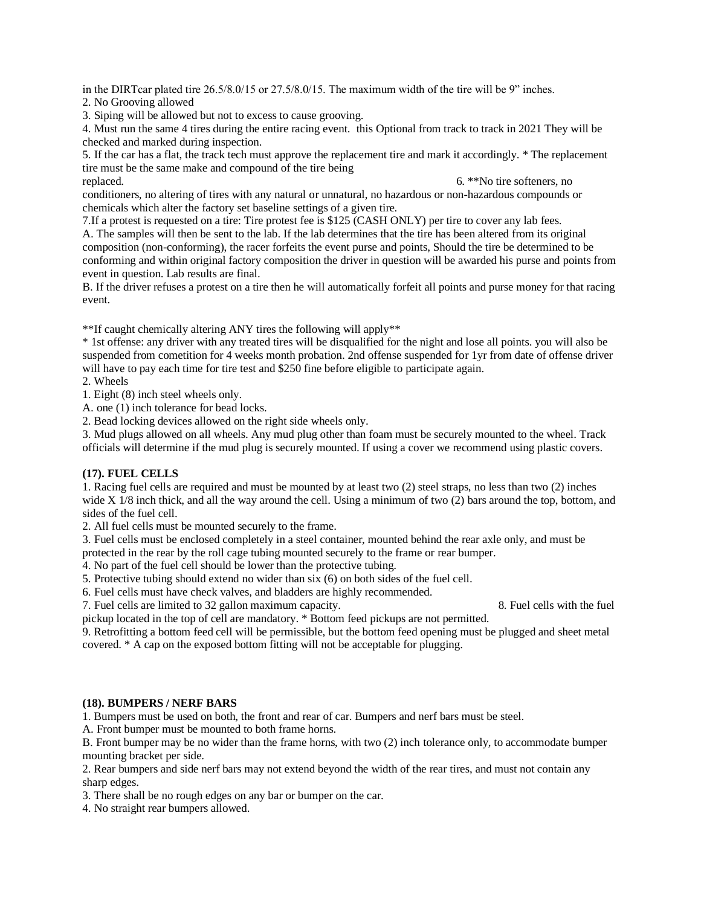in the DIRTcar plated tire 26.5/8.0/15 or 27.5/8.0/15. The maximum width of the tire will be 9" inches.

2. No Grooving allowed

3. Siping will be allowed but not to excess to cause grooving.

4. Must run the same 4 tires during the entire racing event. this Optional from track to track in 2021 They will be checked and marked during inspection.

5. If the car has a flat, the track tech must approve the replacement tire and mark it accordingly. \* The replacement tire must be the same make and compound of the tire being

replaced. 6. \*\*No tire softeners, no conditioners, no altering of tires with any natural or unnatural, no hazardous or non-hazardous compounds or chemicals which alter the factory set baseline settings of a given tire.

7.If a protest is requested on a tire: Tire protest fee is \$125 (CASH ONLY) per tire to cover any lab fees. A. The samples will then be sent to the lab. If the lab determines that the tire has been altered from its original composition (non-conforming), the racer forfeits the event purse and points, Should the tire be determined to be conforming and within original factory composition the driver in question will be awarded his purse and points from event in question. Lab results are final.

B. If the driver refuses a protest on a tire then he will automatically forfeit all points and purse money for that racing event.

\*\*If caught chemically altering ANY tires the following will apply\*\*

\* 1st offense: any driver with any treated tires will be disqualified for the night and lose all points. you will also be suspended from cometition for 4 weeks month probation. 2nd offense suspended for 1yr from date of offense driver will have to pay each time for tire test and \$250 fine before eligible to participate again.

2. Wheels

1. Eight (8) inch steel wheels only.

A. one (1) inch tolerance for bead locks.

2. Bead locking devices allowed on the right side wheels only.

3. Mud plugs allowed on all wheels. Any mud plug other than foam must be securely mounted to the wheel. Track officials will determine if the mud plug is securely mounted. If using a cover we recommend using plastic covers.

# **(17). FUEL CELLS**

1. Racing fuel cells are required and must be mounted by at least two (2) steel straps, no less than two (2) inches wide X 1/8 inch thick, and all the way around the cell. Using a minimum of two (2) bars around the top, bottom, and sides of the fuel cell.

2. All fuel cells must be mounted securely to the frame.

3. Fuel cells must be enclosed completely in a steel container, mounted behind the rear axle only, and must be protected in the rear by the roll cage tubing mounted securely to the frame or rear bumper.

4. No part of the fuel cell should be lower than the protective tubing.

5. Protective tubing should extend no wider than six (6) on both sides of the fuel cell.

6. Fuel cells must have check valves, and bladders are highly recommended.

7. Fuel cells are limited to 32 gallon maximum capacity. 8. Fuel cells with the fuel

pickup located in the top of cell are mandatory. \* Bottom feed pickups are not permitted.

9. Retrofitting a bottom feed cell will be permissible, but the bottom feed opening must be plugged and sheet metal covered. \* A cap on the exposed bottom fitting will not be acceptable for plugging.

#### **(18). BUMPERS / NERF BARS**

1. Bumpers must be used on both, the front and rear of car. Bumpers and nerf bars must be steel.

A. Front bumper must be mounted to both frame horns.

B. Front bumper may be no wider than the frame horns, with two (2) inch tolerance only, to accommodate bumper mounting bracket per side.

2. Rear bumpers and side nerf bars may not extend beyond the width of the rear tires, and must not contain any sharp edges.

3. There shall be no rough edges on any bar or bumper on the car.

4. No straight rear bumpers allowed.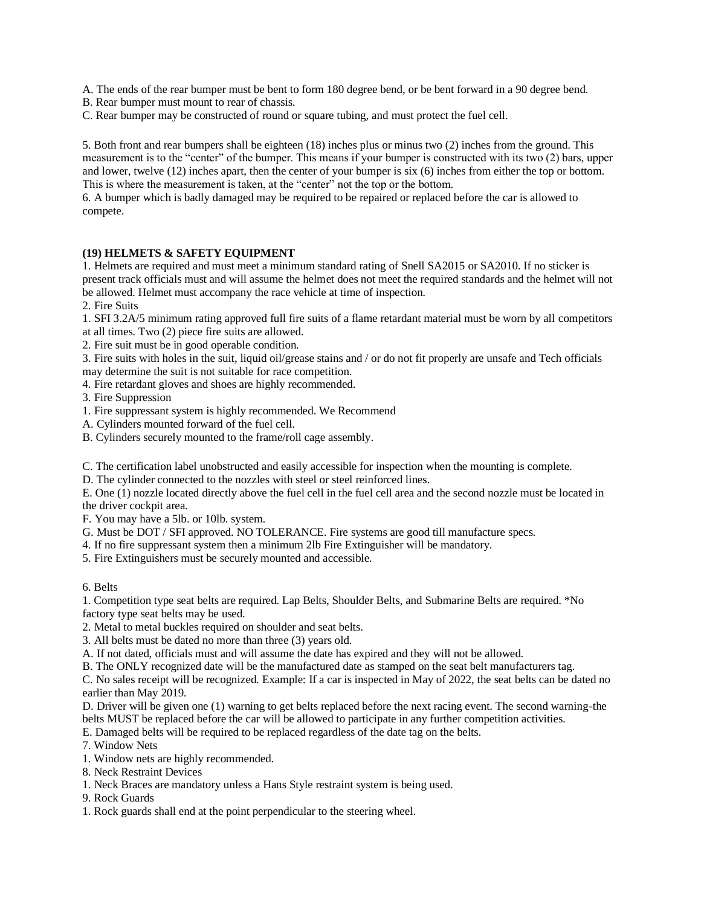A. The ends of the rear bumper must be bent to form 180 degree bend, or be bent forward in a 90 degree bend.

- B. Rear bumper must mount to rear of chassis.
- C. Rear bumper may be constructed of round or square tubing, and must protect the fuel cell.

5. Both front and rear bumpers shall be eighteen (18) inches plus or minus two (2) inches from the ground. This measurement is to the "center" of the bumper. This means if your bumper is constructed with its two (2) bars, upper and lower, twelve (12) inches apart, then the center of your bumper is six (6) inches from either the top or bottom. This is where the measurement is taken, at the "center" not the top or the bottom.

6. A bumper which is badly damaged may be required to be repaired or replaced before the car is allowed to compete.

# **(19) HELMETS & SAFETY EQUIPMENT**

1. Helmets are required and must meet a minimum standard rating of Snell SA2015 or SA2010. If no sticker is present track officials must and will assume the helmet does not meet the required standards and the helmet will not be allowed. Helmet must accompany the race vehicle at time of inspection.

2. Fire Suits

1. SFI 3.2A/5 minimum rating approved full fire suits of a flame retardant material must be worn by all competitors at all times. Two (2) piece fire suits are allowed.

2. Fire suit must be in good operable condition.

3. Fire suits with holes in the suit, liquid oil/grease stains and / or do not fit properly are unsafe and Tech officials may determine the suit is not suitable for race competition.

4. Fire retardant gloves and shoes are highly recommended.

3. Fire Suppression

- 1. Fire suppressant system is highly recommended. We Recommend
- A. Cylinders mounted forward of the fuel cell.
- B. Cylinders securely mounted to the frame/roll cage assembly.

C. The certification label unobstructed and easily accessible for inspection when the mounting is complete.

D. The cylinder connected to the nozzles with steel or steel reinforced lines.

E. One (1) nozzle located directly above the fuel cell in the fuel cell area and the second nozzle must be located in the driver cockpit area.

F. You may have a 5lb. or 10lb. system.

G. Must be DOT / SFI approved. NO TOLERANCE. Fire systems are good till manufacture specs.

4. If no fire suppressant system then a minimum 2lb Fire Extinguisher will be mandatory.

5. Fire Extinguishers must be securely mounted and accessible.

6. Belts

1. Competition type seat belts are required. Lap Belts, Shoulder Belts, and Submarine Belts are required. \*No factory type seat belts may be used.

2. Metal to metal buckles required on shoulder and seat belts.

3. All belts must be dated no more than three (3) years old.

A. If not dated, officials must and will assume the date has expired and they will not be allowed.

B. The ONLY recognized date will be the manufactured date as stamped on the seat belt manufacturers tag.

C. No sales receipt will be recognized. Example: If a car is inspected in May of 2022, the seat belts can be dated no earlier than May 2019.

D. Driver will be given one (1) warning to get belts replaced before the next racing event. The second warning-the belts MUST be replaced before the car will be allowed to participate in any further competition activities.

E. Damaged belts will be required to be replaced regardless of the date tag on the belts.

7. Window Nets

1. Window nets are highly recommended.

8. Neck Restraint Devices

1. Neck Braces are mandatory unless a Hans Style restraint system is being used.

9. Rock Guards

1. Rock guards shall end at the point perpendicular to the steering wheel.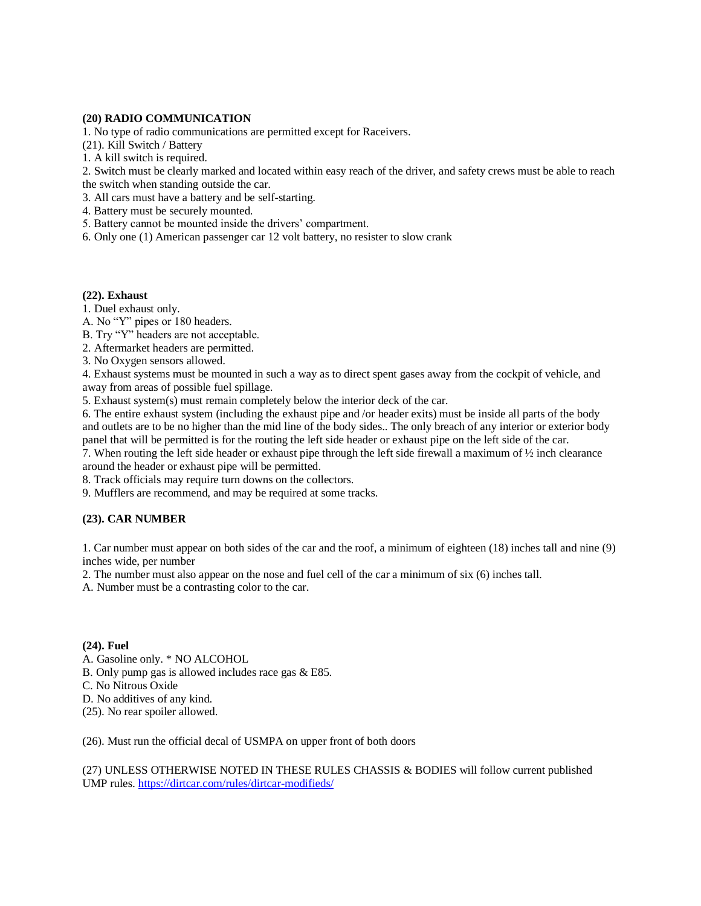#### **(20) RADIO COMMUNICATION**

1. No type of radio communications are permitted except for Raceivers.

(21). Kill Switch / Battery

1. A kill switch is required.

2. Switch must be clearly marked and located within easy reach of the driver, and safety crews must be able to reach the switch when standing outside the car.

3. All cars must have a battery and be self-starting.

- 4. Battery must be securely mounted.
- 5. Battery cannot be mounted inside the drivers' compartment.
- 6. Only one (1) American passenger car 12 volt battery, no resister to slow crank

#### **(22). Exhaust**

1. Duel exhaust only.

A. No "Y" pipes or 180 headers.

B. Try "Y" headers are not acceptable.

2. Aftermarket headers are permitted.

3. No Oxygen sensors allowed.

4. Exhaust systems must be mounted in such a way as to direct spent gases away from the cockpit of vehicle, and away from areas of possible fuel spillage.

5. Exhaust system(s) must remain completely below the interior deck of the car.

6. The entire exhaust system (including the exhaust pipe and /or header exits) must be inside all parts of the body and outlets are to be no higher than the mid line of the body sides.. The only breach of any interior or exterior body panel that will be permitted is for the routing the left side header or exhaust pipe on the left side of the car.

7. When routing the left side header or exhaust pipe through the left side firewall a maximum of ½ inch clearance around the header or exhaust pipe will be permitted.

8. Track officials may require turn downs on the collectors.

9. Mufflers are recommend, and may be required at some tracks.

# **(23). CAR NUMBER**

1. Car number must appear on both sides of the car and the roof, a minimum of eighteen (18) inches tall and nine (9) inches wide, per number

2. The number must also appear on the nose and fuel cell of the car a minimum of six (6) inches tall.

A. Number must be a contrasting color to the car.

# **(24). Fuel**

A. Gasoline only. \* NO ALCOHOL

B. Only pump gas is allowed includes race gas & E85.

C. No Nitrous Oxide

D. No additives of any kind.

(25). No rear spoiler allowed.

(26). Must run the official decal of USMPA on upper front of both doors

(27) UNLESS OTHERWISE NOTED IN THESE RULES CHASSIS & BODIES will follow current published UMP rules[. https://dirtcar.com/rules/dirtcar-modifieds/](https://dirtcar.com/rules/dirtcar-modifieds/)